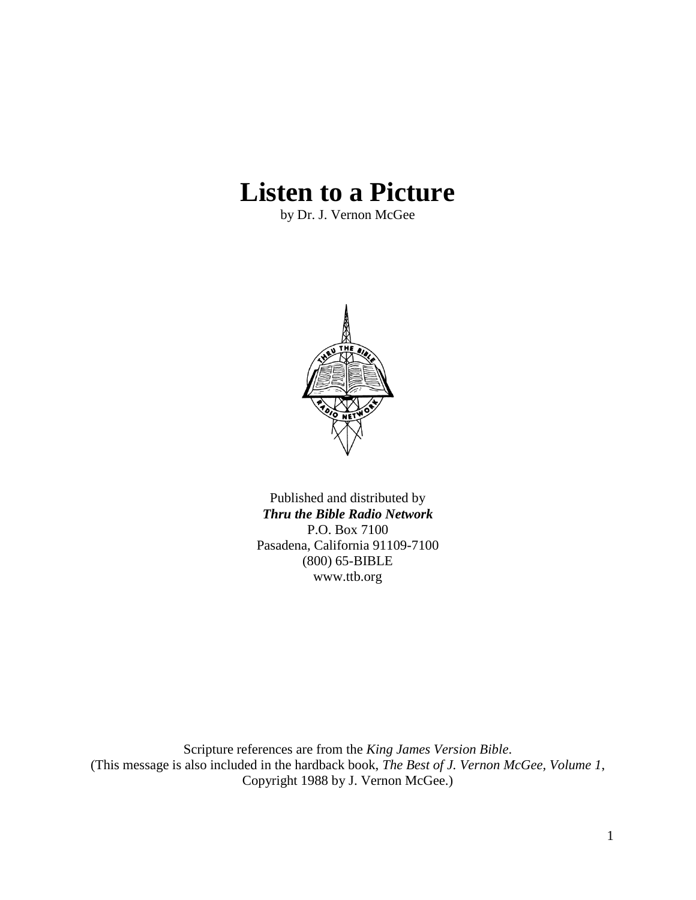# **Listen to a Picture**

by Dr. J. Vernon McGee



Published and distributed by *Thru the Bible Radio Network* P.O. Box 7100 Pasadena, California 91109-7100 (800) 65-BIBLE www.ttb.org

Scripture references are from the *King James Version Bible*. (This message is also included in the hardback book, *The Best of J. Vernon McGee, Volume 1*, Copyright 1988 by J. Vernon McGee.)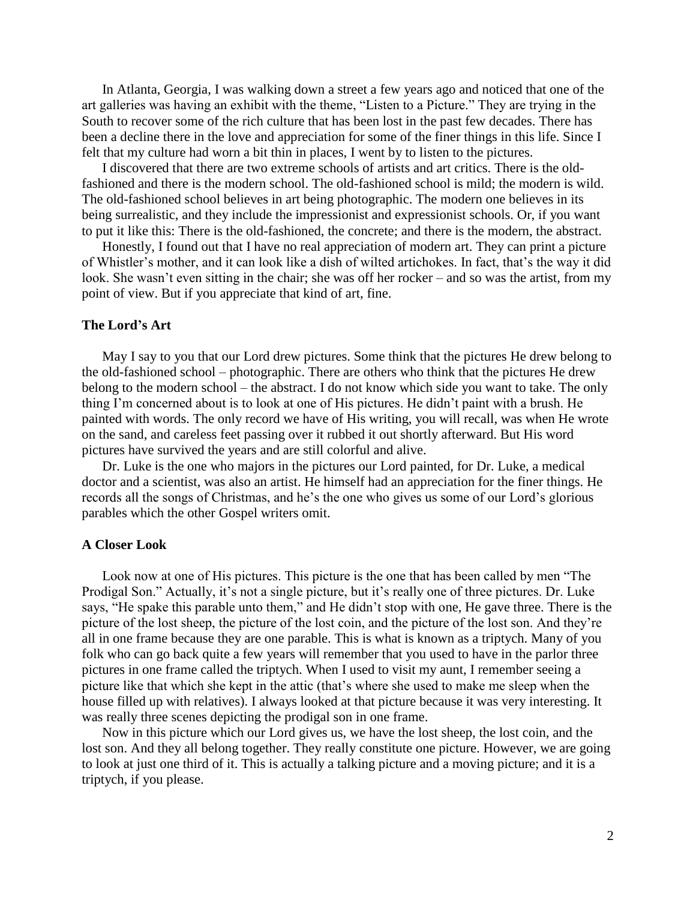In Atlanta, Georgia, I was walking down a street a few years ago and noticed that one of the art galleries was having an exhibit with the theme, "Listen to a Picture." They are trying in the South to recover some of the rich culture that has been lost in the past few decades. There has been a decline there in the love and appreciation for some of the finer things in this life. Since I felt that my culture had worn a bit thin in places, I went by to listen to the pictures.

I discovered that there are two extreme schools of artists and art critics. There is the oldfashioned and there is the modern school. The old-fashioned school is mild; the modern is wild. The old-fashioned school believes in art being photographic. The modern one believes in its being surrealistic, and they include the impressionist and expressionist schools. Or, if you want to put it like this: There is the old-fashioned, the concrete; and there is the modern, the abstract.

Honestly, I found out that I have no real appreciation of modern art. They can print a picture of Whistler"s mother, and it can look like a dish of wilted artichokes. In fact, that"s the way it did look. She wasn't even sitting in the chair; she was off her rocker – and so was the artist, from my point of view. But if you appreciate that kind of art, fine.

### **The Lord's Art**

May I say to you that our Lord drew pictures. Some think that the pictures He drew belong to the old-fashioned school – photographic. There are others who think that the pictures He drew belong to the modern school – the abstract. I do not know which side you want to take. The only thing I"m concerned about is to look at one of His pictures. He didn"t paint with a brush. He painted with words. The only record we have of His writing, you will recall, was when He wrote on the sand, and careless feet passing over it rubbed it out shortly afterward. But His word pictures have survived the years and are still colorful and alive.

Dr. Luke is the one who majors in the pictures our Lord painted, for Dr. Luke, a medical doctor and a scientist, was also an artist. He himself had an appreciation for the finer things. He records all the songs of Christmas, and he"s the one who gives us some of our Lord"s glorious parables which the other Gospel writers omit.

#### **A Closer Look**

Look now at one of His pictures. This picture is the one that has been called by men "The Prodigal Son." Actually, it's not a single picture, but it's really one of three pictures. Dr. Luke says, "He spake this parable unto them," and He didn"t stop with one, He gave three. There is the picture of the lost sheep, the picture of the lost coin, and the picture of the lost son. And they"re all in one frame because they are one parable. This is what is known as a triptych. Many of you folk who can go back quite a few years will remember that you used to have in the parlor three pictures in one frame called the triptych. When I used to visit my aunt, I remember seeing a picture like that which she kept in the attic (that"s where she used to make me sleep when the house filled up with relatives). I always looked at that picture because it was very interesting. It was really three scenes depicting the prodigal son in one frame.

Now in this picture which our Lord gives us, we have the lost sheep, the lost coin, and the lost son. And they all belong together. They really constitute one picture. However, we are going to look at just one third of it. This is actually a talking picture and a moving picture; and it is a triptych, if you please.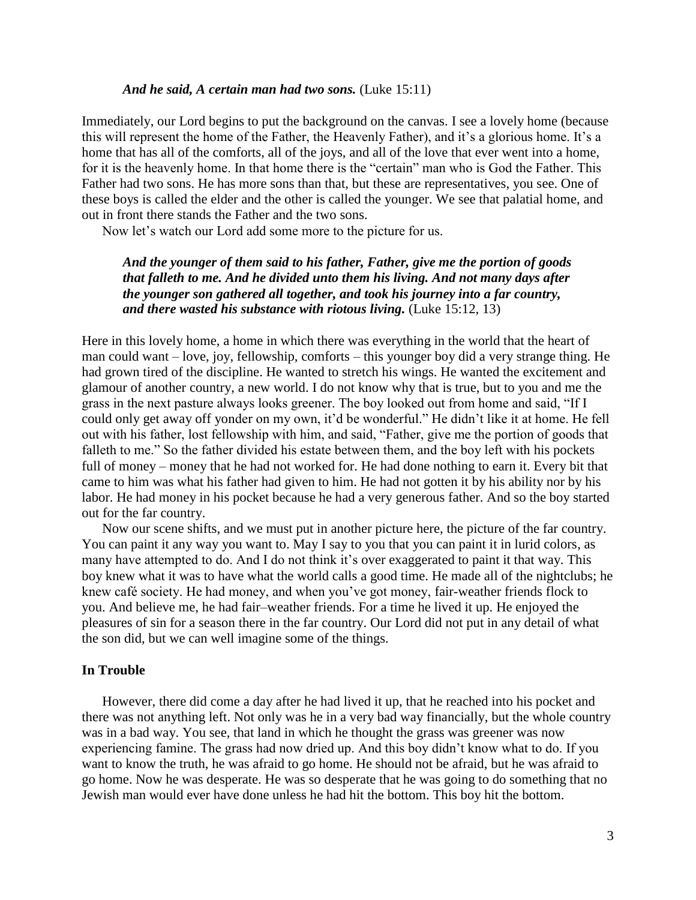## *And he said, A certain man had two sons.* (Luke 15:11)

Immediately, our Lord begins to put the background on the canvas. I see a lovely home (because this will represent the home of the Father, the Heavenly Father), and it's a glorious home. It's a home that has all of the comforts, all of the joys, and all of the love that ever went into a home, for it is the heavenly home. In that home there is the "certain" man who is God the Father. This Father had two sons. He has more sons than that, but these are representatives, you see. One of these boys is called the elder and the other is called the younger. We see that palatial home, and out in front there stands the Father and the two sons.

Now let's watch our Lord add some more to the picture for us.

*And the younger of them said to his father, Father, give me the portion of goods that falleth to me. And he divided unto them his living. And not many days after the younger son gathered all together, and took his journey into a far country, and there wasted his substance with riotous living.* (Luke 15:12, 13)

Here in this lovely home, a home in which there was everything in the world that the heart of man could want – love, joy, fellowship, comforts – this younger boy did a very strange thing. He had grown tired of the discipline. He wanted to stretch his wings. He wanted the excitement and glamour of another country, a new world. I do not know why that is true, but to you and me the grass in the next pasture always looks greener. The boy looked out from home and said, "If I could only get away off yonder on my own, it"d be wonderful." He didn"t like it at home. He fell out with his father, lost fellowship with him, and said, "Father, give me the portion of goods that falleth to me." So the father divided his estate between them, and the boy left with his pockets full of money – money that he had not worked for. He had done nothing to earn it. Every bit that came to him was what his father had given to him. He had not gotten it by his ability nor by his labor. He had money in his pocket because he had a very generous father. And so the boy started out for the far country.

Now our scene shifts, and we must put in another picture here, the picture of the far country. You can paint it any way you want to. May I say to you that you can paint it in lurid colors, as many have attempted to do. And I do not think it's over exaggerated to paint it that way. This boy knew what it was to have what the world calls a good time. He made all of the nightclubs; he knew café society. He had money, and when you"ve got money, fair-weather friends flock to you. And believe me, he had fair–weather friends. For a time he lived it up. He enjoyed the pleasures of sin for a season there in the far country. Our Lord did not put in any detail of what the son did, but we can well imagine some of the things.

### **In Trouble**

However, there did come a day after he had lived it up, that he reached into his pocket and there was not anything left. Not only was he in a very bad way financially, but the whole country was in a bad way. You see, that land in which he thought the grass was greener was now experiencing famine. The grass had now dried up. And this boy didn"t know what to do. If you want to know the truth, he was afraid to go home. He should not be afraid, but he was afraid to go home. Now he was desperate. He was so desperate that he was going to do something that no Jewish man would ever have done unless he had hit the bottom. This boy hit the bottom.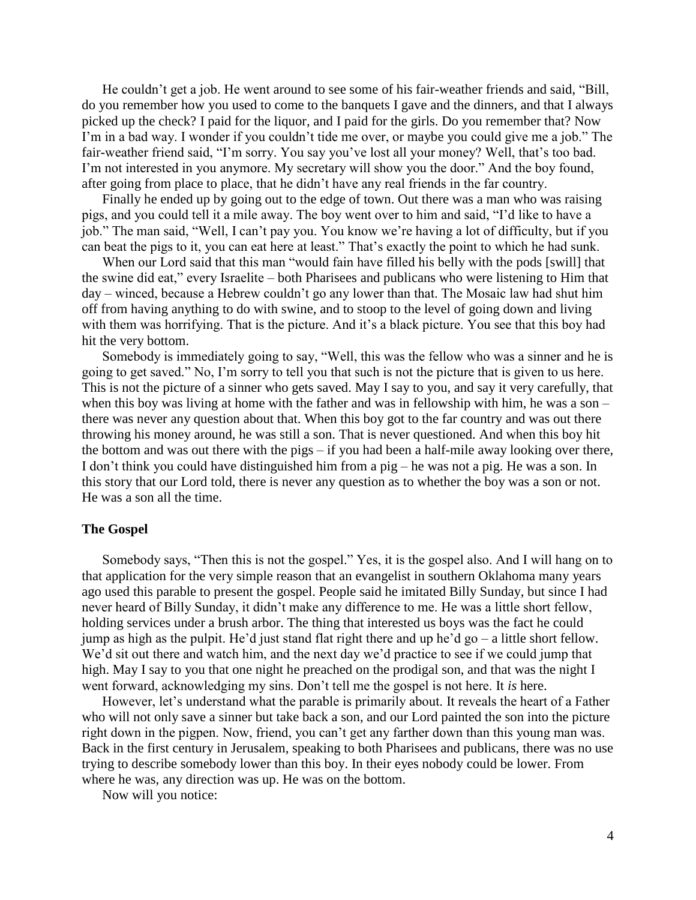He couldn"t get a job. He went around to see some of his fair-weather friends and said, "Bill, do you remember how you used to come to the banquets I gave and the dinners, and that I always picked up the check? I paid for the liquor, and I paid for the girls. Do you remember that? Now I'm in a bad way. I wonder if you couldn't tide me over, or maybe you could give me a job." The fair-weather friend said, "I"m sorry. You say you"ve lost all your money? Well, that"s too bad. I'm not interested in you anymore. My secretary will show you the door." And the boy found, after going from place to place, that he didn"t have any real friends in the far country.

Finally he ended up by going out to the edge of town. Out there was a man who was raising pigs, and you could tell it a mile away. The boy went over to him and said, "I"d like to have a job." The man said, "Well, I can't pay you. You know we're having a lot of difficulty, but if you can beat the pigs to it, you can eat here at least." That"s exactly the point to which he had sunk.

When our Lord said that this man "would fain have filled his belly with the pods [swill] that the swine did eat," every Israelite – both Pharisees and publicans who were listening to Him that day – winced, because a Hebrew couldn"t go any lower than that. The Mosaic law had shut him off from having anything to do with swine, and to stoop to the level of going down and living with them was horrifying. That is the picture. And it's a black picture. You see that this boy had hit the very bottom.

Somebody is immediately going to say, "Well, this was the fellow who was a sinner and he is going to get saved." No, I"m sorry to tell you that such is not the picture that is given to us here. This is not the picture of a sinner who gets saved. May I say to you, and say it very carefully, that when this boy was living at home with the father and was in fellowship with him, he was a son – there was never any question about that. When this boy got to the far country and was out there throwing his money around, he was still a son. That is never questioned. And when this boy hit the bottom and was out there with the pigs – if you had been a half-mile away looking over there, I don"t think you could have distinguished him from a pig – he was not a pig. He was a son. In this story that our Lord told, there is never any question as to whether the boy was a son or not. He was a son all the time.

#### **The Gospel**

Somebody says, "Then this is not the gospel." Yes, it is the gospel also. And I will hang on to that application for the very simple reason that an evangelist in southern Oklahoma many years ago used this parable to present the gospel. People said he imitated Billy Sunday, but since I had never heard of Billy Sunday, it didn"t make any difference to me. He was a little short fellow, holding services under a brush arbor. The thing that interested us boys was the fact he could jump as high as the pulpit. He'd just stand flat right there and up he'd  $g_0 - a$  little short fellow. We'd sit out there and watch him, and the next day we'd practice to see if we could jump that high. May I say to you that one night he preached on the prodigal son, and that was the night I went forward, acknowledging my sins. Don"t tell me the gospel is not here. It *is* here.

However, let's understand what the parable is primarily about. It reveals the heart of a Father who will not only save a sinner but take back a son, and our Lord painted the son into the picture right down in the pigpen. Now, friend, you can"t get any farther down than this young man was. Back in the first century in Jerusalem, speaking to both Pharisees and publicans, there was no use trying to describe somebody lower than this boy. In their eyes nobody could be lower. From where he was, any direction was up. He was on the bottom.

Now will you notice: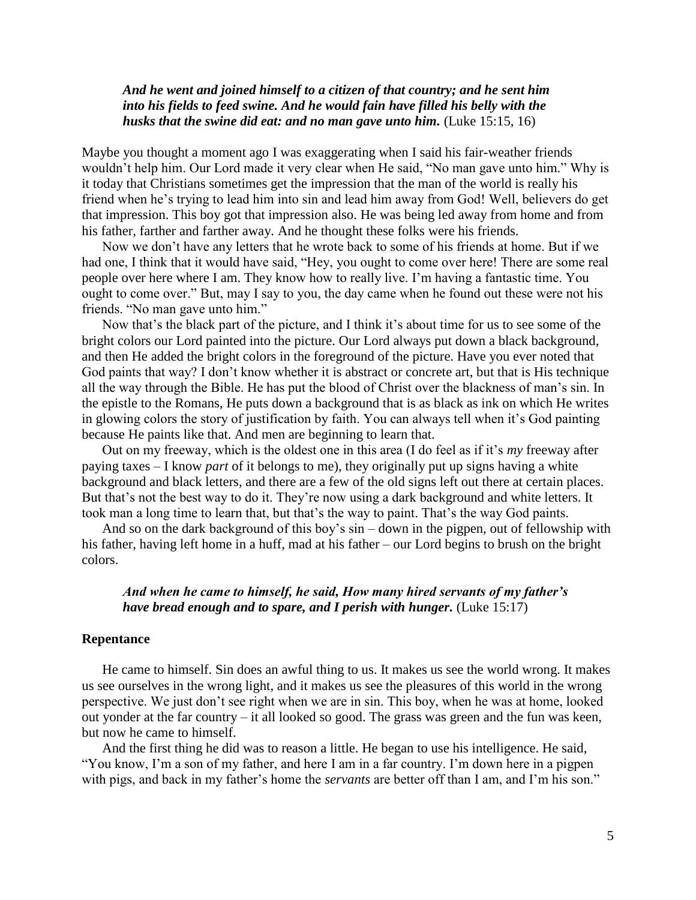## *And he went and joined himself to a citizen of that country; and he sent him into his fields to feed swine. And he would fain have filled his belly with the husks that the swine did eat: and no man gave unto him.* (Luke 15:15, 16)

Maybe you thought a moment ago I was exaggerating when I said his fair-weather friends wouldn"t help him. Our Lord made it very clear when He said, "No man gave unto him." Why is it today that Christians sometimes get the impression that the man of the world is really his friend when he"s trying to lead him into sin and lead him away from God! Well, believers do get that impression. This boy got that impression also. He was being led away from home and from his father, farther and farther away. And he thought these folks were his friends.

Now we don"t have any letters that he wrote back to some of his friends at home. But if we had one, I think that it would have said, "Hey, you ought to come over here! There are some real people over here where I am. They know how to really live. I"m having a fantastic time. You ought to come over." But, may I say to you, the day came when he found out these were not his friends. "No man gave unto him."

Now that's the black part of the picture, and I think it's about time for us to see some of the bright colors our Lord painted into the picture. Our Lord always put down a black background, and then He added the bright colors in the foreground of the picture. Have you ever noted that God paints that way? I don't know whether it is abstract or concrete art, but that is His technique all the way through the Bible. He has put the blood of Christ over the blackness of man"s sin. In the epistle to the Romans, He puts down a background that is as black as ink on which He writes in glowing colors the story of justification by faith. You can always tell when it's God painting because He paints like that. And men are beginning to learn that.

Out on my freeway, which is the oldest one in this area (I do feel as if it"s *my* freeway after paying taxes – I know *part* of it belongs to me), they originally put up signs having a white background and black letters, and there are a few of the old signs left out there at certain places. But that's not the best way to do it. They're now using a dark background and white letters. It took man a long time to learn that, but that"s the way to paint. That"s the way God paints.

And so on the dark background of this boy"s sin – down in the pigpen, out of fellowship with his father, having left home in a huff, mad at his father – our Lord begins to brush on the bright colors.

## *And when he came to himself, he said, How many hired servants of my father's have bread enough and to spare, and I perish with hunger.* (Luke 15:17)

## **Repentance**

He came to himself. Sin does an awful thing to us. It makes us see the world wrong. It makes us see ourselves in the wrong light, and it makes us see the pleasures of this world in the wrong perspective. We just don"t see right when we are in sin. This boy, when he was at home, looked out yonder at the far country – it all looked so good. The grass was green and the fun was keen, but now he came to himself.

And the first thing he did was to reason a little. He began to use his intelligence. He said, "You know, I"m a son of my father, and here I am in a far country. I"m down here in a pigpen with pigs, and back in my father's home the *servants* are better off than I am, and I'm his son."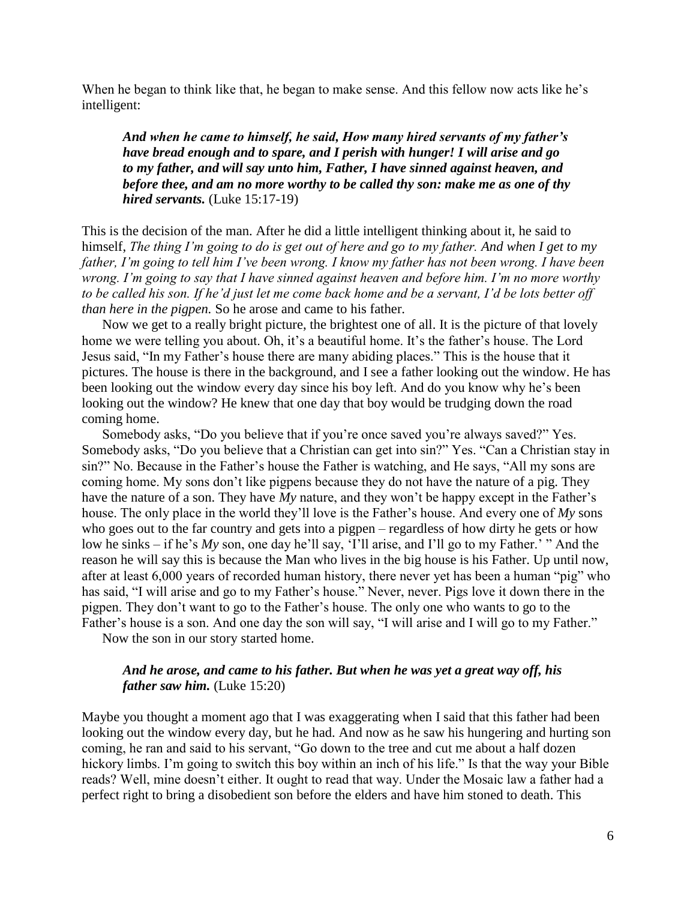When he began to think like that, he began to make sense. And this fellow now acts like he's intelligent:

*And when he came to himself, he said, How many hired servants of my father's have bread enough and to spare, and I perish with hunger! I will arise and go to my father, and will say unto him, Father, I have sinned against heaven, and before thee, and am no more worthy to be called thy son: make me as one of thy hired servants.* (Luke 15:17-19)

This is the decision of the man. After he did a little intelligent thinking about it, he said to himself, *The thing I'm going to do is get out of here and go to my father. And when I get to my father, I'm going to tell him I've been wrong. I know my father has not been wrong. I have been wrong. I'm going to say that I have sinned against heaven and before him. I'm no more worthy to be called his son. If he'd just let me come back home and be a servant, I'd be lots better off than here in the pigpen.* So he arose and came to his father.

Now we get to a really bright picture, the brightest one of all. It is the picture of that lovely home we were telling you about. Oh, it's a beautiful home. It's the father's house. The Lord Jesus said, "In my Father"s house there are many abiding places." This is the house that it pictures. The house is there in the background, and I see a father looking out the window. He has been looking out the window every day since his boy left. And do you know why he's been looking out the window? He knew that one day that boy would be trudging down the road coming home.

Somebody asks, "Do you believe that if you"re once saved you"re always saved?" Yes. Somebody asks, "Do you believe that a Christian can get into sin?" Yes. "Can a Christian stay in sin?" No. Because in the Father's house the Father is watching, and He says, "All my sons are coming home. My sons don"t like pigpens because they do not have the nature of a pig. They have the nature of a son. They have *My* nature, and they won't be happy except in the Father's house. The only place in the world they"ll love is the Father"s house. And every one of *My* sons who goes out to the far country and gets into a pigpen – regardless of how dirty he gets or how low he sinks – if he's *My* son, one day he'll say, 'I'll arise, and I'll go to my Father.' " And the reason he will say this is because the Man who lives in the big house is his Father. Up until now, after at least 6,000 years of recorded human history, there never yet has been a human "pig" who has said, "I will arise and go to my Father's house." Never, never. Pigs love it down there in the pigpen. They don"t want to go to the Father"s house. The only one who wants to go to the Father's house is a son. And one day the son will say, "I will arise and I will go to my Father."

Now the son in our story started home.

## *And he arose, and came to his father. But when he was yet a great way off, his father saw him.* (Luke 15:20)

Maybe you thought a moment ago that I was exaggerating when I said that this father had been looking out the window every day, but he had. And now as he saw his hungering and hurting son coming, he ran and said to his servant, "Go down to the tree and cut me about a half dozen hickory limbs. I'm going to switch this boy within an inch of his life." Is that the way your Bible reads? Well, mine doesn"t either. It ought to read that way. Under the Mosaic law a father had a perfect right to bring a disobedient son before the elders and have him stoned to death. This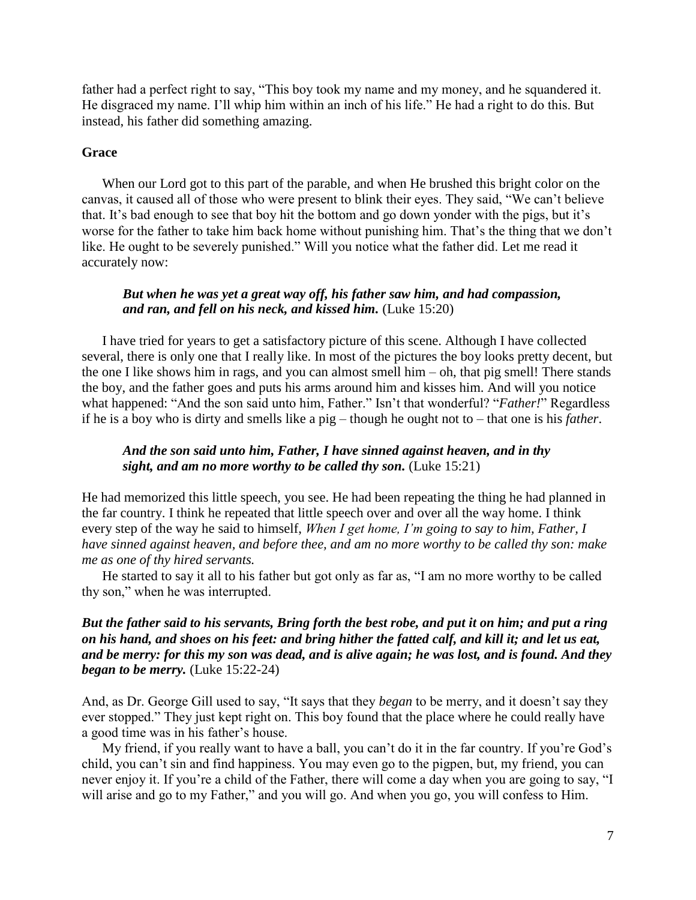father had a perfect right to say, "This boy took my name and my money, and he squandered it. He disgraced my name. I"ll whip him within an inch of his life." He had a right to do this. But instead, his father did something amazing.

## **Grace**

When our Lord got to this part of the parable, and when He brushed this bright color on the canvas, it caused all of those who were present to blink their eyes. They said, "We can"t believe that. It's bad enough to see that boy hit the bottom and go down vonder with the pigs, but it's worse for the father to take him back home without punishing him. That's the thing that we don't like. He ought to be severely punished." Will you notice what the father did. Let me read it accurately now:

# *But when he was yet a great way off, his father saw him, and had compassion, and ran, and fell on his neck, and kissed him.* (Luke 15:20)

I have tried for years to get a satisfactory picture of this scene. Although I have collected several, there is only one that I really like. In most of the pictures the boy looks pretty decent, but the one I like shows him in rags, and you can almost smell him – oh, that pig smell! There stands the boy, and the father goes and puts his arms around him and kisses him. And will you notice what happened: "And the son said unto him, Father." Isn't that wonderful? "*Father!*" Regardless if he is a boy who is dirty and smells like a pig – though he ought not to – that one is his *father*.

# *And the son said unto him, Father, I have sinned against heaven, and in thy sight, and am no more worthy to be called thy son.* (Luke 15:21)

He had memorized this little speech, you see. He had been repeating the thing he had planned in the far country. I think he repeated that little speech over and over all the way home. I think every step of the way he said to himself, *When I get home, I'm going to say to him, Father, I have sinned against heaven, and before thee, and am no more worthy to be called thy son: make me as one of thy hired servants.*

He started to say it all to his father but got only as far as, "I am no more worthy to be called thy son," when he was interrupted.

# *But the father said to his servants, Bring forth the best robe, and put it on him; and put a ring on his hand, and shoes on his feet: and bring hither the fatted calf, and kill it; and let us eat, and be merry: for this my son was dead, and is alive again; he was lost, and is found. And they began to be merry.* (Luke 15:22-24)

And, as Dr. George Gill used to say, "It says that they *began* to be merry, and it doesn"t say they ever stopped." They just kept right on. This boy found that the place where he could really have a good time was in his father"s house.

My friend, if you really want to have a ball, you can't do it in the far country. If you're God's child, you can"t sin and find happiness. You may even go to the pigpen, but, my friend, you can never enjoy it. If you're a child of the Father, there will come a day when you are going to say, "I will arise and go to my Father," and you will go. And when you go, you will confess to Him.